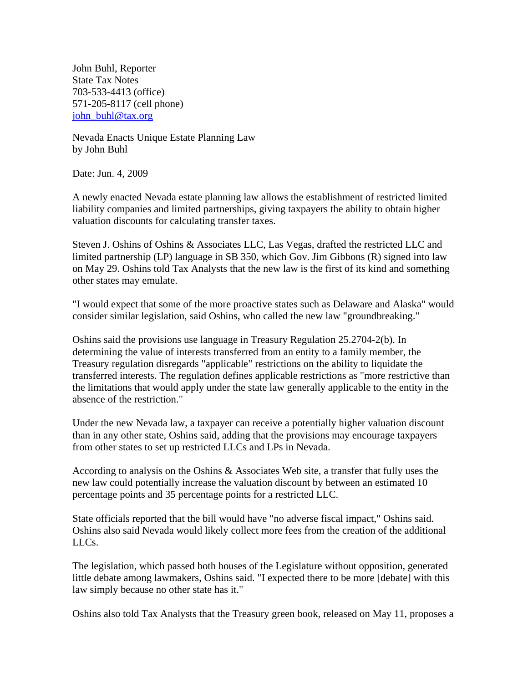John Buhl, Reporter State Tax Notes 703-533-4413 (office) 571-205-8117 (cell phone) john\_buhl@tax.org

Nevada Enacts Unique Estate Planning Law by John Buhl

Date: Jun. 4, 2009

A newly enacted Nevada estate planning law allows the establishment of restricted limited liability companies and limited partnerships, giving taxpayers the ability to obtain higher valuation discounts for calculating transfer taxes.

Steven J. Oshins of Oshins & Associates LLC, Las Vegas, drafted the restricted LLC and limited partnership (LP) language in SB 350, which Gov. Jim Gibbons (R) signed into law on May 29. Oshins told Tax Analysts that the new law is the first of its kind and something other states may emulate.

"I would expect that some of the more proactive states such as Delaware and Alaska" would consider similar legislation, said Oshins, who called the new law "groundbreaking."

Oshins said the provisions use language in Treasury Regulation 25.2704-2(b). In determining the value of interests transferred from an entity to a family member, the Treasury regulation disregards "applicable" restrictions on the ability to liquidate the transferred interests. The regulation defines applicable restrictions as "more restrictive than the limitations that would apply under the state law generally applicable to the entity in the absence of the restriction."

Under the new Nevada law, a taxpayer can receive a potentially higher valuation discount than in any other state, Oshins said, adding that the provisions may encourage taxpayers from other states to set up restricted LLCs and LPs in Nevada.

According to analysis on the Oshins & Associates Web site, a transfer that fully uses the new law could potentially increase the valuation discount by between an estimated 10 percentage points and 35 percentage points for a restricted LLC.

State officials reported that the bill would have "no adverse fiscal impact," Oshins said. Oshins also said Nevada would likely collect more fees from the creation of the additional LLCs.

The legislation, which passed both houses of the Legislature without opposition, generated little debate among lawmakers, Oshins said. "I expected there to be more [debate] with this law simply because no other state has it."

Oshins also told Tax Analysts that the Treasury green book, released on May 11, proposes a